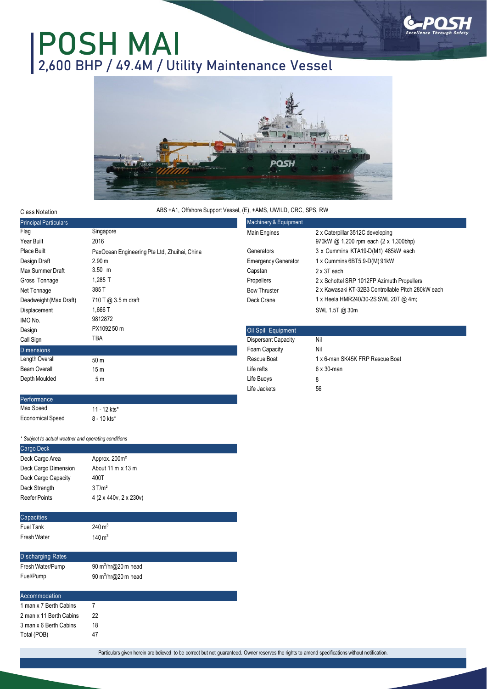

## **POSH MAI 2,600 BHP / 49.4M / Utility Maintenance Vessel**



## ABS +A1, Offshore Support Vessel, (E), +AMS, UWILD, CRC, SPS, RW

| <b>Class Notation</b>        | ABS +A1, Offshore Support Vessel, (E), +AMS, UWILD, CRC, SPS, RW |                            |                                                    |  |
|------------------------------|------------------------------------------------------------------|----------------------------|----------------------------------------------------|--|
| <b>Principal Particulars</b> |                                                                  | Machinery & Equipment      |                                                    |  |
| Flag                         | Singapore                                                        | Main Engines               | 2 x Caterpillar 3512C developing                   |  |
| Year Built                   | 2016                                                             |                            | 970kW @ 1,200 rpm each (2 x 1,300bhp)              |  |
| Place Built                  | PaxOcean Engineering Pte Ltd, Zhuihai, China                     | Generators                 | 3 x Cummins KTA19-D(M1) 485kW each                 |  |
| Design Draft                 | 2.90 <sub>m</sub>                                                | <b>Emergency Generator</b> | 1 x Cummins 6BT5.9-D(M) 91kW                       |  |
| Max Summer Draft             | $3.50$ m                                                         | Capstan                    | 2 x 3T each                                        |  |
| Gross Tonnage                | 1,285 T                                                          | Propellers                 | 2 x Schottel SRP 1012FP Azimuth Propellers         |  |
| Net Tonnage                  | 385T                                                             | <b>Bow Thruster</b>        | 2 x Kawasaki KT-32B3 Controllable Pitch 280kW each |  |
| Deadweight (Max Draft)       | 710 T @ 3.5 m draft                                              | Deck Crane                 | 1 x Heela HMR240/30-2S SWL 20T @ 4m;               |  |
| Displacement                 | 1,666 T                                                          |                            | SWL 1.5T @ 30m                                     |  |
| IMO No.                      | 9812872                                                          |                            |                                                    |  |
| Design                       | PX109250 m                                                       | Oil Spill Equipment        |                                                    |  |
| Call Sign                    | TBA                                                              | <b>Dispersant Capacity</b> | Nil                                                |  |
| <b>Dimensions</b>            |                                                                  | Foam Capacity              | Nil                                                |  |
| Length Overall               | 50 m                                                             | Rescue Boat                | 1 x 6-man SK45K FRP Rescue Boat                    |  |
| Beam Overall                 | 15 <sub>m</sub>                                                  | Life rafts                 | $6 \times 30$ -man                                 |  |
| Depth Moulded                | 5m                                                               | Life Buoys                 | 8                                                  |  |
|                              |                                                                  | Life Jackets               | 56                                                 |  |
| Performance                  |                                                                  |                            |                                                    |  |

*\* Subject to actual weather and operating conditions*

11 - 12 kts\* 8 - 10 kts\*

Max Speed Economical Speed

3 man x 6 Berth Cabins 18 Total (POB) 47

| Cargo Deck               |                                  |  |
|--------------------------|----------------------------------|--|
| Deck Cargo Area          | Approx. 200m <sup>2</sup>        |  |
| Deck Cargo Dimension     | About 11 m x 13 m                |  |
| Deck Cargo Capacity      | 400T                             |  |
| Deck Strength            | $3$ T/m <sup>2</sup>             |  |
| <b>Reefer Points</b>     | 4 (2 x 440v, 2 x 230v)           |  |
|                          |                                  |  |
| Capacities               |                                  |  |
| <b>Fuel Tank</b>         | $240 \,\mathrm{m}^3$             |  |
| Fresh Water              | $140 \,\mathrm{m}^3$             |  |
|                          |                                  |  |
| <b>Discharging Rates</b> |                                  |  |
| Fresh Water/Pump         | 90 $m^3/hr$ ( $\omega$ 20 m head |  |
| Fuel/Pump                | 90 $m^3/hr$ ( $\omega$ 20 m head |  |
|                          |                                  |  |
| Accommodation            |                                  |  |
| 1 man x 7 Berth Cabins   | 7                                |  |
| 2 man x 11 Berth Cabins  | 22                               |  |